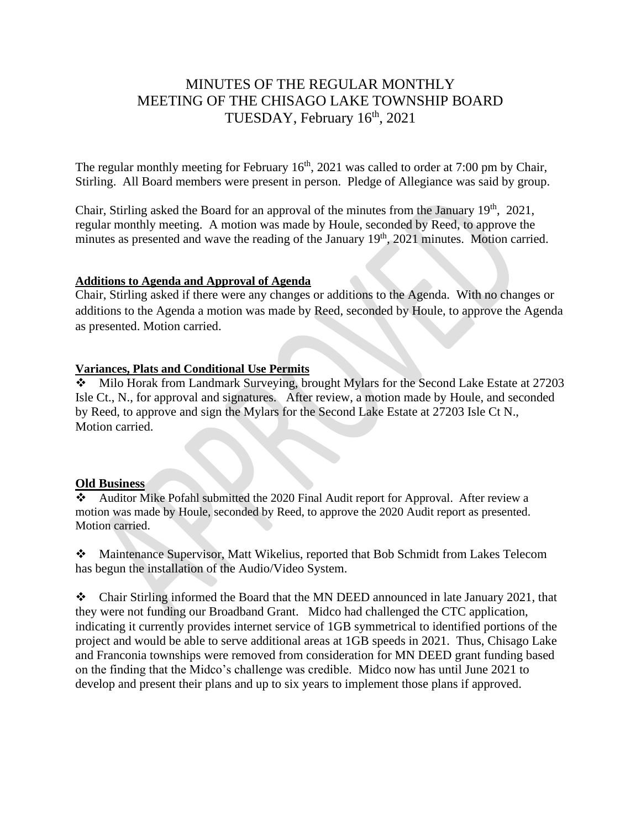# MINUTES OF THE REGULAR MONTHLY MEETING OF THE CHISAGO LAKE TOWNSHIP BOARD TUESDAY, February 16<sup>th</sup>, 2021

The regular monthly meeting for February  $16<sup>th</sup>$ , 2021 was called to order at 7:00 pm by Chair, Stirling. All Board members were present in person. Pledge of Allegiance was said by group.

Chair, Stirling asked the Board for an approval of the minutes from the January  $19<sup>th</sup>$ ,  $2021$ , regular monthly meeting. A motion was made by Houle, seconded by Reed, to approve the minutes as presented and wave the reading of the January 19<sup>th</sup>, 2021 minutes. Motion carried.

#### **Additions to Agenda and Approval of Agenda**

Chair, Stirling asked if there were any changes or additions to the Agenda. With no changes or additions to the Agenda a motion was made by Reed, seconded by Houle, to approve the Agenda as presented. Motion carried.

### **Variances, Plats and Conditional Use Permits**

❖ Milo Horak from Landmark Surveying, brought Mylars for the Second Lake Estate at 27203 Isle Ct., N., for approval and signatures. After review, a motion made by Houle, and seconded by Reed, to approve and sign the Mylars for the Second Lake Estate at 27203 Isle Ct N., Motion carried.

#### **Old Business**

❖ Auditor Mike Pofahl submitted the 2020 Final Audit report for Approval. After review a motion was made by Houle, seconded by Reed, to approve the 2020 Audit report as presented. Motion carried.

❖ Maintenance Supervisor, Matt Wikelius, reported that Bob Schmidt from Lakes Telecom has begun the installation of the Audio/Video System.

❖ Chair Stirling informed the Board that the MN DEED announced in late January 2021, that they were not funding our Broadband Grant. Midco had challenged the CTC application, indicating it currently provides internet service of 1GB symmetrical to identified portions of the project and would be able to serve additional areas at 1GB speeds in 2021. Thus, Chisago Lake and Franconia townships were removed from consideration for MN DEED grant funding based on the finding that the Midco's challenge was credible. Midco now has until June 2021 to develop and present their plans and up to six years to implement those plans if approved.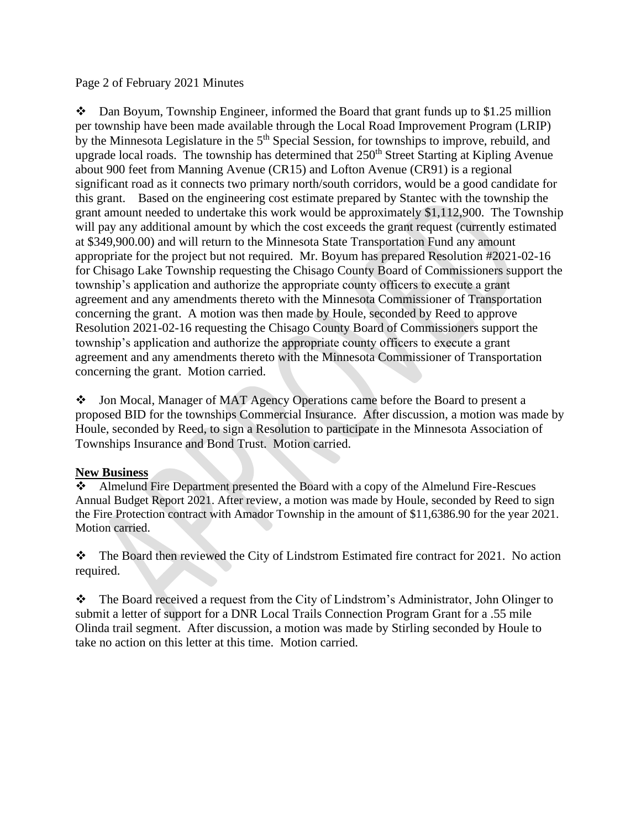#### Page 2 of February 2021 Minutes

 $\bullet$  Dan Boyum, Township Engineer, informed the Board that grant funds up to \$1.25 million per township have been made available through the Local Road Improvement Program (LRIP) by the Minnesota Legislature in the 5<sup>th</sup> Special Session, for townships to improve, rebuild, and upgrade local roads. The township has determined that  $250<sup>th</sup>$  Street Starting at Kipling Avenue about 900 feet from Manning Avenue (CR15) and Lofton Avenue (CR91) is a regional significant road as it connects two primary north/south corridors, would be a good candidate for this grant. Based on the engineering cost estimate prepared by Stantec with the township the grant amount needed to undertake this work would be approximately \$1,112,900. The Township will pay any additional amount by which the cost exceeds the grant request (currently estimated at \$349,900.00) and will return to the Minnesota State Transportation Fund any amount appropriate for the project but not required. Mr. Boyum has prepared Resolution #2021-02-16 for Chisago Lake Township requesting the Chisago County Board of Commissioners support the township's application and authorize the appropriate county officers to execute a grant agreement and any amendments thereto with the Minnesota Commissioner of Transportation concerning the grant. A motion was then made by Houle, seconded by Reed to approve Resolution 2021-02-16 requesting the Chisago County Board of Commissioners support the township's application and authorize the appropriate county officers to execute a grant agreement and any amendments thereto with the Minnesota Commissioner of Transportation concerning the grant. Motion carried.

❖ Jon Mocal, Manager of MAT Agency Operations came before the Board to present a proposed BID for the townships Commercial Insurance. After discussion, a motion was made by Houle, seconded by Reed, to sign a Resolution to participate in the Minnesota Association of Townships Insurance and Bond Trust. Motion carried.

#### **New Business**

❖ Almelund Fire Department presented the Board with a copy of the Almelund Fire-Rescues Annual Budget Report 2021. After review, a motion was made by Houle, seconded by Reed to sign the Fire Protection contract with Amador Township in the amount of \$11,6386.90 for the year 2021. Motion carried.

❖ The Board then reviewed the City of Lindstrom Estimated fire contract for 2021. No action required.

❖ The Board received a request from the City of Lindstrom's Administrator, John Olinger to submit a letter of support for a DNR Local Trails Connection Program Grant for a .55 mile Olinda trail segment. After discussion, a motion was made by Stirling seconded by Houle to take no action on this letter at this time. Motion carried.